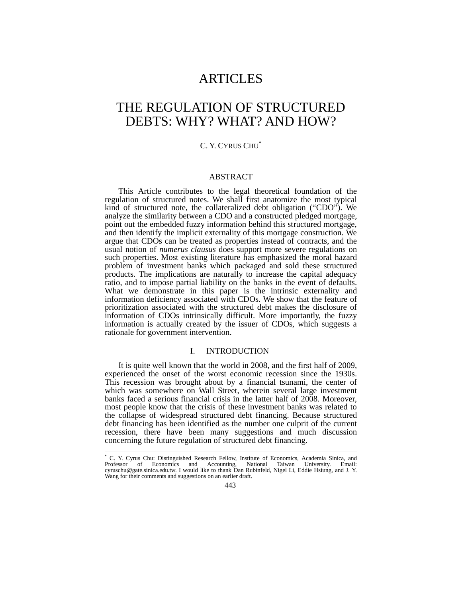# **ARTICLES**

# THE REGULATION OF STRUCTURED DEBTS: WHY? WHAT? AND HOW?

# C. Y. CYRUS CHU\*

#### ABSTRACT

This Article contributes to the legal theoretical foundation of the regulation of structured notes. We shall first anatomize the most typical kind of structured note, the collateralized debt obligation ("CDO"). We analyze the similarity between a CDO and a constructed pledged mortgage, point out the embedded fuzzy information behind this structured mortgage, and then identify the implicit externality of this mortgage construction. We argue that CDOs can be treated as properties instead of contracts, and the usual notion of *numerus clausus* does support more severe regulations on such properties. Most existing literature has emphasized the moral hazard problem of investment banks which packaged and sold these structured products. The implications are naturally to increase the capital adequacy ratio, and to impose partial liability on the banks in the event of defaults. What we demonstrate in this paper is the intrinsic externality and information deficiency associated with CDOs. We show that the feature of prioritization associated with the structured debt makes the disclosure of information of CDOs intrinsically difficult. More importantly, the fuzzy information is actually created by the issuer of CDOs, which suggests a rationale for government intervention.

## I. INTRODUCTION

It is quite well known that the world in 2008, and the first half of 2009, experienced the onset of the worst economic recession since the 1930s. This recession was brought about by a financial tsunami, the center of which was somewhere on Wall Street, wherein several large investment banks faced a serious financial crisis in the latter half of 2008. Moreover, most people know that the crisis of these investment banks was related to the collapse of widespread structured debt financing. Because structured debt financing has been identified as the number one culprit of the current recession, there have been many suggestions and much discussion concerning the future regulation of structured debt financing.

l \* C. Y. Cyrus Chu: Distinguished Research Fellow, Institute of Economics, Academia Sinica, and Professor of Economics and Accounting, National Taiwan cyruschu@gate.sinica.edu.tw. I would like to thank Dan Rubinfeld, Nigel Li, Eddie Hsiung, and J. Y. Wang for their comments and suggestions on an earlier draft.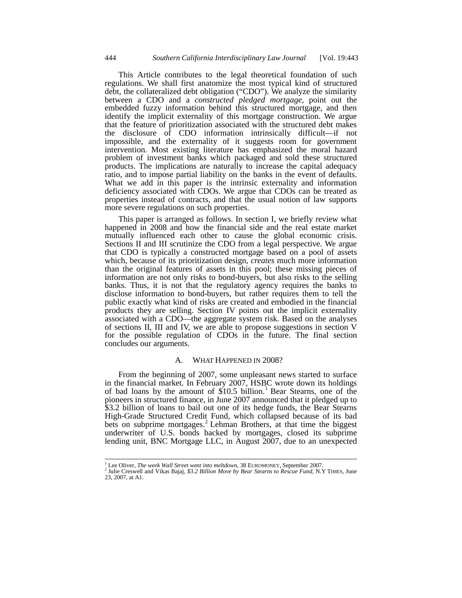This Article contributes to the legal theoretical foundation of such regulations. We shall first anatomize the most typical kind of structured debt, the collateralized debt obligation ("CDO"). We analyze the similarity between a CDO and a *constructed pledged mortgage*, point out the embedded fuzzy information behind this structured mortgage, and then identify the implicit externality of this mortgage construction. We argue that the feature of prioritization associated with the structured debt makes the disclosure of CDO information intrinsically difficult—if not impossible, and the externality of it suggests room for government intervention. Most existing literature has emphasized the moral hazard problem of investment banks which packaged and sold these structured products. The implications are naturally to increase the capital adequacy ratio, and to impose partial liability on the banks in the event of defaults. What we add in this paper is the intrinsic externality and information deficiency associated with CDOs. We argue that CDOs can be treated as properties instead of contracts, and that the usual notion of law supports more severe regulations on such properties.

This paper is arranged as follows. In section I, we briefly review what happened in 2008 and how the financial side and the real estate market mutually influenced each other to cause the global economic crisis. Sections II and III scrutinize the CDO from a legal perspective. We argue that CDO is typically a constructed mortgage based on a pool of assets which, because of its prioritization design, *creates* much more information than the original features of assets in this pool; these missing pieces of information are not only risks to bond-buyers, but also risks to the selling banks. Thus, it is not that the regulatory agency requires the banks to disclose information to bond-buyers, but rather requires them to tell the public exactly what kind of risks are created and embodied in the financial products they are selling. Section IV points out the implicit externality associated with a CDO—the aggregate system risk. Based on the analyses of sections II, III and IV, we are able to propose suggestions in section V for the possible regulation of CDOs in the future. The final section concludes our arguments.

#### A. WHAT HAPPENED IN 2008?

From the beginning of 2007, some unpleasant news started to surface in the financial market. In February 2007, HSBC wrote down its holdings of bad loans by the amount of  $$10.5$  billion.<sup>1</sup> Bear Stearns, one of the pioneers in structured finance, in June 2007 announced that it pledged up to \$3.2 billion of loans to bail out one of its hedge funds, the Bear Stearns High-Grade Structured Credit Fund, which collapsed because of its bad bets on subprime mortgages.<sup>2</sup> Lehman Brothers, at that time the biggest underwriter of U.S. bonds backed by mortgages, closed its subprime lending unit, BNC Mortgage LLC, in August 2007, due to an unexpected

<sup>&</sup>lt;sup>1</sup> Lee Oliver, The week Wall Street went into meltdown, 38 EUROMONEY, September 2007.

<sup>&</sup>lt;sup>2</sup> Julie Creswell and Vikas Bajaj, *\$3.2 Billion Move by Bear Stearns to Rescue Fund*, N.Y TIMES, June 23, 2007, at A1.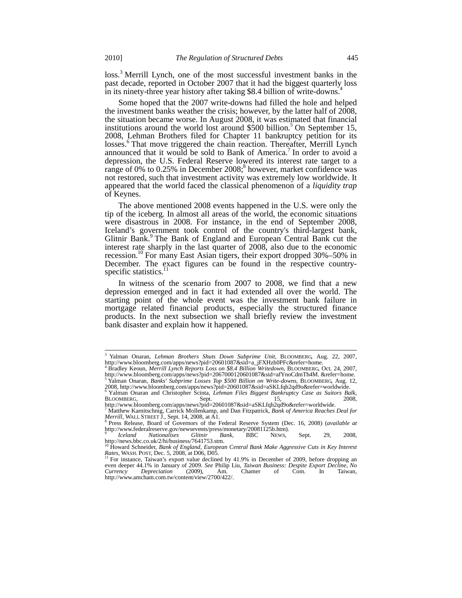loss.<sup>3</sup> Merrill Lynch, one of the most successful investment banks in the past decade, reported in October 2007 that it had the biggest quarterly loss in its ninety-three year history after taking \$8.4 billion of write-downs.<sup>4</sup>

Some hoped that the 2007 write-downs had filled the hole and helped the investment banks weather the crisis; however, by the latter half of 2008, the situation became worse. In August 2008, it was estimated that financial institutions around the world lost around  $$500$  billion.<sup>5</sup> On September 15, 2008, Lehman Brothers filed for Chapter 11 bankruptcy petition for its losses.<sup>6</sup> That move triggered the chain reaction. Thereafter, Merrill Lynch announced that it would be sold to Bank of America.<sup>7</sup> In order to avoid a depression, the U.S. Federal Reserve lowered its interest rate target to a range of 0% to  $0.25\%$  in December 2008;<sup>8</sup> however, market confidence was not restored, such that investment activity was extremely low worldwide. It appeared that the world faced the classical phenomenon of a *liquidity trap* of Keynes.

The above mentioned 2008 events happened in the U.S. were only the tip of the iceberg. In almost all areas of the world, the economic situations were disastrous in 2008. For instance, in the end of September 2008, Iceland's government took control of the country's third-largest bank, Glitnir Bank.<sup>9</sup> The Bank of England and European Central Bank cut the interest rate sharply in the last quarter of 2008, also due to the economic recession.<sup>10</sup> For many East Asian tigers, their export dropped 30%–50% in December. The exact figures can be found in the respective countryspecific statistics.<sup>1</sup>

In witness of the scenario from 2007 to 2008, we find that a new depression emerged and in fact it had extended all over the world. The starting point of the whole event was the investment bank failure in mortgage related financial products, especially the structured finance products. In the next subsection we shall briefly review the investment bank disaster and explain how it happened.

 $\overline{a}$ 

<sup>3</sup> Yalman Onaran, *Lehman Brothers Shuts Down Subprime Unit*, BLOOMBERG, Aug. 22, 2007, http://www.bloomberg.com/apps/news?pid=20601087&sid=a\_jFXHzh0PFc&refer=home.

<sup>4</sup> Bradley Keoun, *Merrill Lynch Reports Loss on \$8.4 Billion Writedown,* BLOOMBERG, Oct. 24, 2007, http://www.bloomberg.com/apps/news?pid=2067000120601087&sid=afYnoCdmTh4M. &refer=home. <sup>5</sup> Yalman Onaran, *Banks' Subprime Losses Top \$500 Billion on Write-downs*, BLOOMBERG, Aug. 12,

<sup>2008,</sup> http://www.bloomberg.com/apps/news?pid=20601087&sid=aSKLfqh2qd9o&refer=worldwide. <sup>6</sup> Yalman Onaran and Christopher Scinta, *Lehman Files Biggest Bankruptcy Case as Suitors Balk*, BLOOMBERG, Sept. 15, 2008,

http://www.bloomberg.com/apps/news?pid=20601087&sid=aSKLfqh2qd9o&refer=worldwide. <sup>7</sup> Matthew Karnitschnig, Carrick Mollenkamp, and Dan Fitzpatrick, *Bank of America Reaches Deal for Merrill*, WALL STREET J., Sept. 14, 2008, at A1.<br><sup>8</sup> Press Release, Board of Governors of the Federal Reserve System (Dec. 16, 2008) (*available at* 

<sup>&</sup>lt;sup>8</sup> Press Release, Board of Governors of the Federal Reserve System (Dec. 16, 2008) (available at http://www.federalreserve.gov/newsevents/press/monetary/20081125b.htm).<br><sup>9</sup> *Iceland Nationalises Glitnir Bank*, BBC NEWS, S

<sup>9</sup> *Iceland Nationalises Glitnir Bank*, BBC NEWS, Sept. 29, 2008, http://news.bbc.co.uk/2/hi/business/7641753.stm. <sup>10</sup> Howard Schneider, *Bank of England, European Central Bank Make Aggressive Cuts in Key Interest*

Rates, WASH. POST, Dec. 5, 2008, at D06, D05.<br><sup>11</sup> For instance, Taiwan's export value declined by 41.9% in December of 2009, before dropping an even deeper 44.1% in January of 2009. See Philip Liu, *Taiwan Business: Despi Currency Depreciation* (2009), Am. Chamer of Com. In Taiwan, http://www.amcham.com.tw/content/view/2700/422/.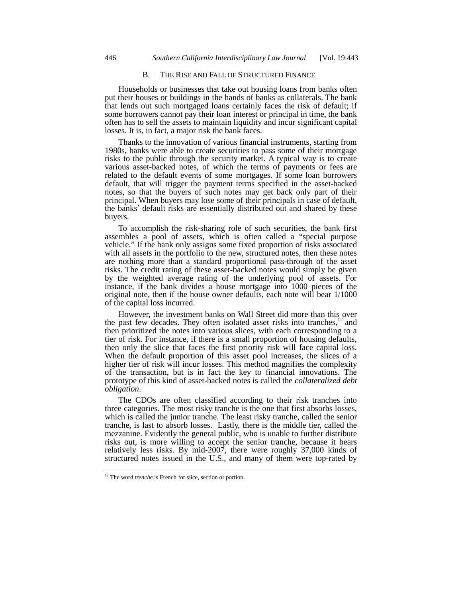## B. THE RISE AND FALL OF STRUCTURED FINANCE

Households or businesses that take out housing loans from banks often put their houses or buildings in the hands of banks as collaterals. The bank that lends out such mortgaged loans certainly faces the risk of default; if some borrowers cannot pay their loan interest or principal in time, the bank often has to sell the assets to maintain liquidity and incur significant capital losses. It is, in fact, a major risk the bank faces.

Thanks to the innovation of various financial instruments, starting from 1980s, banks were able to create securities to pass some of their mortgage risks to the public through the security market. A typical way is to create various asset-backed notes, of which the terms of payments or fees are related to the default events of some mortgages. If some loan borrowers default, that will trigger the payment terms specified in the asset-backed notes, so that the buyers of such notes may get back only part of their principal. When buyers may lose some of their principals in case of default, the banks' default risks are essentially distributed out and shared by these buyers.

To accomplish the risk-sharing role of such securities, the bank first assembles a pool of assets, which is often called a "special purpose vehicle." If the bank only assigns some fixed proportion of risks associated with all assets in the portfolio to the new, structured notes, then these notes are nothing more than a standard proportional pass-through of the asset risks. The credit rating of these asset-backed notes would simply be given by the weighted average rating of the underlying pool of assets. For instance, if the bank divides a house mortgage into 1000 pieces of the original note, then if the house owner defaults, each note will bear 1/1000 of the capital loss incurred.

However, the investment banks on Wall Street did more than this over the past few decades. They often isolated asset risks into tranches,<sup>12</sup> and then prioritized the notes into various slices, with each corresponding to a tier of risk. For instance, if there is a small proportion of housing defaults, then only the slice that faces the first priority risk will face capital loss. When the default proportion of this asset pool increases, the slices of a higher tier of risk will incur losses. This method magnifies the complexity of the transaction, but is in fact the key to financial innovations. The prototype of this kind of asset-backed notes is called the *collateralized debt obligation*.

The CDOs are often classified according to their risk tranches into three categories. The most risky tranche is the one that first absorbs losses, which is called the junior tranche. The least risky tranche, called the senior tranche, is last to absorb losses. Lastly, there is the middle tier, called the mezzanine. Evidently the general public, who is unable to further distribute risks out, is more willing to accept the senior tranche, because it bears relatively less risks. By mid-2007, there were roughly 37,000 kinds of structured notes issued in the U.S., and many of them were top-rated by

<sup>&</sup>lt;sup>12</sup> The word *trenche* is French for slice, section or portion.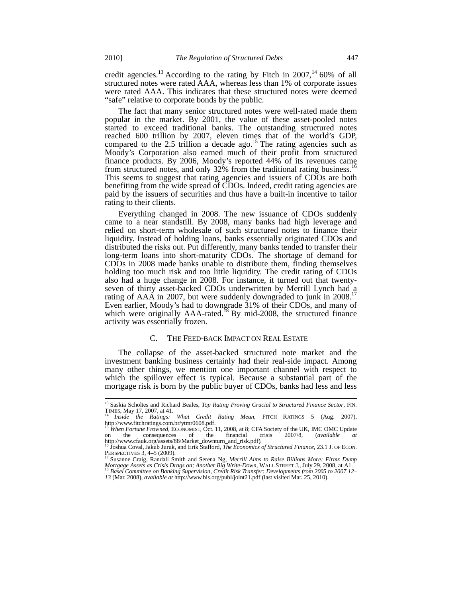credit agencies.<sup>13</sup> According to the rating by Fitch in 2007,<sup>14</sup> 60% of all structured notes were rated AAA, whereas less than 1% of corporate issues were rated AAA. This indicates that these structured notes were deemed "safe" relative to corporate bonds by the public.

The fact that many senior structured notes were well-rated made them popular in the market. By 2001, the value of these asset-pooled notes started to exceed traditional banks. The outstanding structured notes reached 600 trillion by 2007, eleven times that of the world's GDP, compared to the 2.5 trillion a decade ago.<sup>15</sup> The rating agencies such as Moody's Corporation also earned much of their profit from structured finance products. By 2006, Moody's reported 44% of its revenues came from structured notes, and only 32% from the traditional rating business.<sup>16</sup> This seems to suggest that rating agencies and issuers of CDOs are both benefiting from the wide spread of CDOs. Indeed, credit rating agencies are paid by the issuers of securities and thus have a built-in incentive to tailor rating to their clients.

Everything changed in 2008. The new issuance of CDOs suddenly came to a near standstill. By 2008, many banks had high leverage and relied on short-term wholesale of such structured notes to finance their liquidity. Instead of holding loans, banks essentially originated CDOs and distributed the risks out. Put differently, many banks tended to transfer their long-term loans into short-maturity CDOs. The shortage of demand for CDOs in 2008 made banks unable to distribute them, finding themselves holding too much risk and too little liquidity. The credit rating of CDOs also had a huge change in 2008. For instance, it turned out that twentyseven of thirty asset-backed CDOs underwritten by Merrill Lynch had a rating of AAA in 2007, but were suddenly downgraded to junk in  $2008$ <sup>17</sup> Even earlier, Moody's had to downgrade 31% of their CDOs, and many of which were originally  $AAA$ -rated.<sup>18</sup> By mid-2008, the structured finance activity was essentially frozen.

## C. THE FEED-BACK IMPACT ON REAL ESTATE

The collapse of the asset-backed structured note market and the investment banking business certainly had their real-side impact. Among many other things, we mention one important channel with respect to which the spillover effect is typical. Because a substantial part of the mortgage risk is born by the public buyer of CDOs, banks had less and less

<sup>&</sup>lt;sup>13</sup> Saskia Scholtes and Richard Beales, *Top Rating Proving Crucial to Structured Finance Sector*, FIN. TIMES, May 17, 2007, at 41. 14 *Inside the Ratings: What Credit Rating Mean*, FITCH RATINGS 5 (Aug. 2007),

http://www.fitchratings.com.br/ytmr0608.pdf. <sup>15</sup> *When Fortune Frowned*, ECONOMIST, Oct. 11, 2008, at 8; CFA Society of the UK, IMC OMC Update

on the consequences of the financial crisis 2007/8, (*available at*

http://www.cfauk.org/assets/88/Market\_downturn\_and\_risk.pdf)*.* <sup>16</sup> Joshua Coval, Jakub Juruk, and Erik Stafford, *The Economics of Structured Finance*, 23.1 J. OF ECON. PERSPECTIVES 3, 4–5 (2009).<br><sup>17</sup> Susanne Craig, Randall Smith and Serena Ng, *Merrill Aims to Raise Billions More: Firms Dump* 

*Mortgage Assets as Crisis Drags on; Another Big Write-Down, WALL STREET J., July 29, 2008, at A1.* <sup>18</sup> *Basel Committee on Banking Supervision, Credit Risk Transfer: Developments from 2005 to 2007 12–* 

*<sup>13</sup>* (Mar. 2008), *available at* http://www.bis.org/publ/joint21.pdf (last visited Mar. 25, 2010).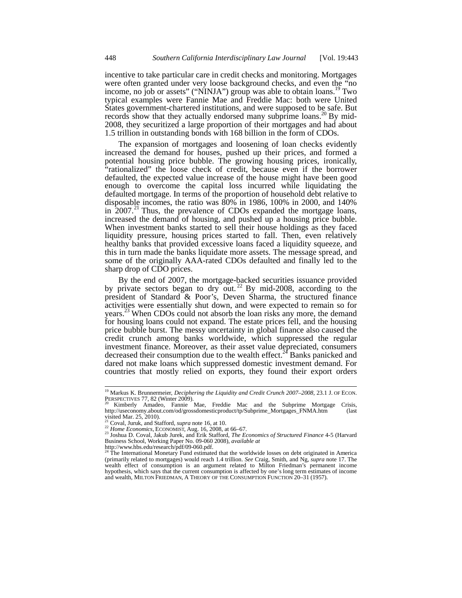incentive to take particular care in credit checks and monitoring. Mortgages were often granted under very loose background checks, and even the "no income, no job or assets" ("NINJA") group was able to obtain loans.<sup>19</sup> Two typical examples were Fannie Mae and Freddie Mac: both were United States government-chartered institutions, and were supposed to be safe. But records show that they actually endorsed many subprime loans.<sup>20</sup> By mid-2008, they securitized a large proportion of their mortgages and had about 1.5 trillion in outstanding bonds with 168 billion in the form of CDOs.

The expansion of mortgages and loosening of loan checks evidently increased the demand for houses, pushed up their prices, and formed a potential housing price bubble. The growing housing prices, ironically, "rationalized" the loose check of credit, because even if the borrower defaulted, the expected value increase of the house might have been good enough to overcome the capital loss incurred while liquidating the defaulted mortgage. In terms of the proportion of household debt relative to disposable incomes, the ratio was 80% in 1986, 100% in 2000, and 140% in 2007.<sup>21</sup> Thus, the prevalence of CDOs expanded the mortgage loans, increased the demand of housing, and pushed up a housing price bubble. When investment banks started to sell their house holdings as they faced liquidity pressure, housing prices started to fall. Then, even relatively healthy banks that provided excessive loans faced a liquidity squeeze, and this in turn made the banks liquidate more assets. The message spread, and some of the originally AAA-rated CDOs defaulted and finally led to the sharp drop of CDO prices.

By the end of 2007, the mortgage-backed securities issuance provided by private sectors began to dry out.<sup>22</sup> By mid-2008, according to the president of Standard & Poor's, Deven Sharma, the structured finance activities were essentially shut down, and were expected to remain so for years.<sup>23</sup> When CDOs could not absorb the loan risks any more, the demand for housing loans could not expand. The estate prices fell, and the housing price bubble burst. The messy uncertainty in global finance also caused the credit crunch among banks worldwide, which suppressed the regular investment finance. Moreover, as their asset value depreciated, consumers decreased their consumption due to the wealth effect.<sup>24</sup> Banks panicked and dared not make loans which suppressed domestic investment demand. For countries that mostly relied on exports, they found their export orders

<sup>19</sup> Markus K. Brunnermeier, *Deciphering the Liquidity and Credit Crunch 2007–2008*, 23.1 J. OF ECON.

PERSPECTIVES 77, 82 (Winter 2009).<br><sup>20</sup> Kimberly Amadeo, Fannie Mae, Freddie Mac and the Subprime Mortgage Crisis,<br>http://useconomy.about.com/od/grossdomesticproduct/tp/Subprime Mortgages FNMA.htm (last http://useconomy.about.com/od/grossdomesticproduct/tp/Subprime\_Mortgages\_FNMA.htm visited Mar. 25, 2010).<br>
<sup>21</sup> Coval, Juruk, and Stafford, *supra* note 16, at 10.<br>
<sup>22</sup> Home Economics, ECONOMIST, Aug. 16, 2008, at 66–67.

<sup>&</sup>lt;sup>23</sup> Joshua D. Coval, Jakub Jurek, and Erik Stafford, *The Economics of Structured Finance* 4-5 (Harvard Business School, Working Paper No. 09-060 2008), *available at* 

http://www.hbs.edu/research/pdf/09-060.pdf.<br><sup>24</sup> The International Monetary Fund estimated that the worldwide losses on debt originated in America (primarily related to mortgages) would reach 1.4 trillion. *See* Craig, Smith, and Ng, *supra* note 17. The wealth effect of consumption is an argument related to Milton Friedman's permanent income hypothesis, which says that the current consumption is affected by one's long term estimates of income and wealth, MILTON FRIEDMAN, A THEORY OF THE CONSUMPTION FUNCTION 20–31 (1957).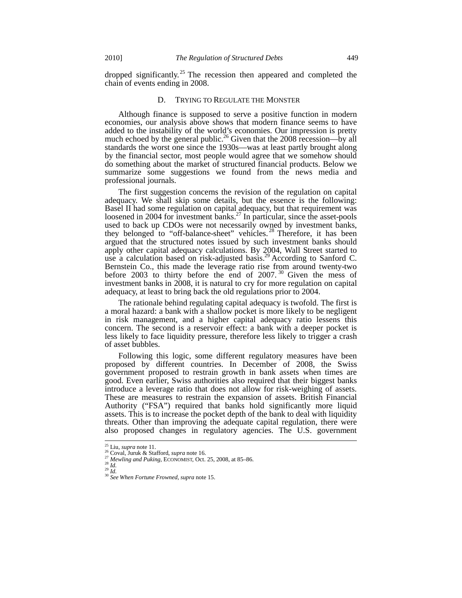dropped significantly.<sup>25</sup> The recession then appeared and completed the chain of events ending in 2008.

#### D. TRYING TO REGULATE THE MONSTER

Although finance is supposed to serve a positive function in modern economies, our analysis above shows that modern finance seems to have added to the instability of the world's economies. Our impression is pretty much echoed by the general public.<sup>26</sup> Given that the 2008 recession—by all standards the worst one since the 1930s—was at least partly brought along by the financial sector, most people would agree that we somehow should do something about the market of structured financial products. Below we summarize some suggestions we found from the news media and professional journals.

The first suggestion concerns the revision of the regulation on capital adequacy. We shall skip some details, but the essence is the following: Basel II had some regulation on capital adequacy, but that requirement was loosened in 2004 for investment banks.<sup>27</sup> In particular, since the asset-pools used to back up CDOs were not necessarily owned by investment banks, they belonged to "off-balance-sheet" vehicles.<sup>28</sup> Therefore, it has been argued that the structured notes issued by such investment banks should apply other capital adequacy calculations. By 2004, Wall Street started to use a calculation based on risk-adjusted basis.<sup>29</sup> According to Sanford C. Bernstein Co., this made the leverage ratio rise from around twenty-two before 2003 to thirty before the end of 2007.<sup>30</sup> Given the mess of investment banks in 2008, it is natural to cry for more regulation on capital adequacy, at least to bring back the old regulations prior to 2004.

The rationale behind regulating capital adequacy is twofold. The first is a moral hazard: a bank with a shallow pocket is more likely to be negligent in risk management, and a higher capital adequacy ratio lessens this concern. The second is a reservoir effect: a bank with a deeper pocket is less likely to face liquidity pressure, therefore less likely to trigger a crash of asset bubbles.

Following this logic, some different regulatory measures have been proposed by different countries. In December of 2008, the Swiss government proposed to restrain growth in bank assets when times are good. Even earlier, Swiss authorities also required that their biggest banks introduce a leverage ratio that does not allow for risk-weighing of assets. These are measures to restrain the expansion of assets. British Financial Authority ("FSA") required that banks hold significantly more liquid assets. This is to increase the pocket depth of the bank to deal with liquidity threats. Other than improving the adequate capital regulation, there were also proposed changes in regulatory agencies. The U.S. government

 $^{25}$  Liu, *supra* note 11.

<sup>26</sup> Coval, Juruk & Stafford, *supra* note 16.<br>
<sup>27</sup> Mewling and Puking, ECONOMIST, Oct. 25, 2008, at 85–86.<br>
<sup>29</sup> Id.<br>
<sup>29</sup> Id.<br>
<sup>30</sup> See When Fortune Frowned, supra note 15.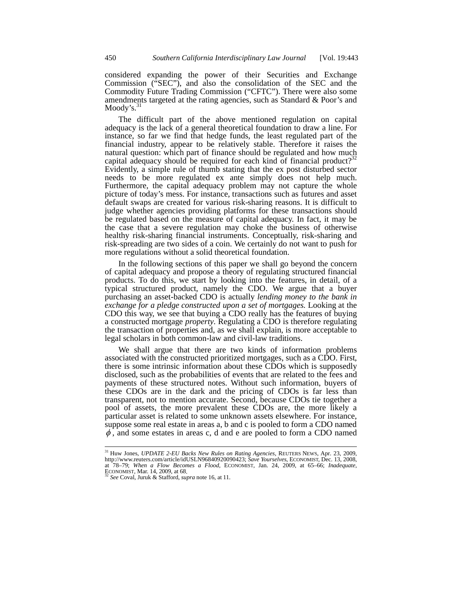considered expanding the power of their Securities and Exchange Commission ("SEC"), and also the consolidation of the SEC and the Commodity Future Trading Commission ("CFTC"). There were also some amendments targeted at the rating agencies, such as Standard & Poor's and Moody's. $3$ 

The difficult part of the above mentioned regulation on capital adequacy is the lack of a general theoretical foundation to draw a line. For instance, so far we find that hedge funds, the least regulated part of the financial industry, appear to be relatively stable. Therefore it raises the natural question: which part of finance should be regulated and how much capital adequacy should be required for each kind of financial product?<sup>32</sup> Evidently, a simple rule of thumb stating that the ex post disturbed sector needs to be more regulated ex ante simply does not help much. Furthermore, the capital adequacy problem may not capture the whole picture of today's mess. For instance, transactions such as futures and asset default swaps are created for various risk-sharing reasons. It is difficult to judge whether agencies providing platforms for these transactions should be regulated based on the measure of capital adequacy. In fact, it may be the case that a severe regulation may choke the business of otherwise healthy risk-sharing financial instruments. Conceptually, risk-sharing and risk-spreading are two sides of a coin. We certainly do not want to push for more regulations without a solid theoretical foundation.

In the following sections of this paper we shall go beyond the concern of capital adequacy and propose a theory of regulating structured financial products. To do this, we start by looking into the features, in detail, of a typical structured product, namely the CDO. We argue that a buyer purchasing an asset-backed CDO is actually *lending money to the bank in exchange for a pledge constructed upon a set of mortgages.* Looking at the CDO this way, we see that buying a CDO really has the features of buying a constructed mortgage *property*. Regulating a CDO is therefore regulating the transaction of properties and, as we shall explain, is more acceptable to legal scholars in both common-law and civil-law traditions.

We shall argue that there are two kinds of information problems associated with the constructed prioritized mortgages, such as a CDO. First, there is some intrinsic information about these CDOs which is supposedly disclosed, such as the probabilities of events that are related to the fees and payments of these structured notes. Without such information, buyers of these CDOs are in the dark and the pricing of CDOs is far less than transparent, not to mention accurate. Second, because CDOs tie together a pool of assets, the more prevalent these CDOs are, the more likely a particular asset is related to some unknown assets elsewhere. For instance, suppose some real estate in areas a, b and c is pooled to form a CDO named  $\phi$ , and some estates in areas c, d and e are pooled to form a CDO named

 $\overline{a}$ 

<sup>31</sup> Huw Jones, *UPDATE 2-EU Backs New Rules on Rating Agencies*, REUTERS NEWS, Apr. 23, 2009, http://www.reuters.com/article/idUSLN96840920090423; *Save Yourselves*, ECONOMIST, Dec. 13, 2008, at 78–79; *When a Flow Becomes a Flood*, ECONOMIST*,* Jan. 24, 2009, at 65–66; *Inadequate*, ECONOMIST*,* Mar. 14, 2009, at 68. <sup>32</sup> *See* Coval, Juruk & Stafford, *supra* note 16, at 11.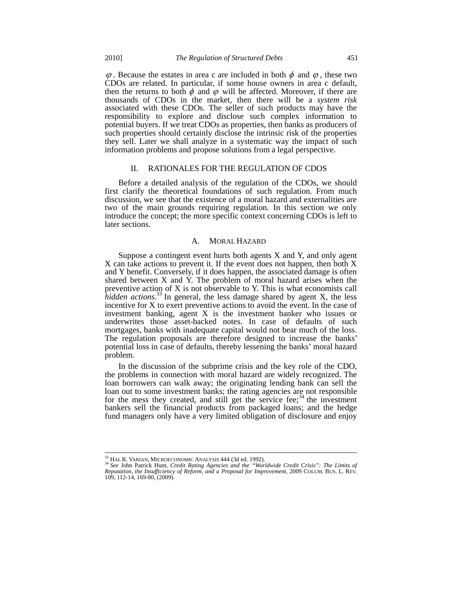$\varphi$ . Because the estates in area c are included in both  $\varphi$  and  $\varphi$ , these two CDOs are related. In particular, if some house owners in area c default, then the returns to both  $\phi$  and  $\phi$  will be affected. Moreover, if there are thousands of CDOs in the market, then there will be a *system risk* associated with these CDOs. The seller of such products may have the responsibility to explore and disclose such complex information to potential buyers. If we treat CDOs as properties, then banks as producers of such properties should certainly disclose the intrinsic risk of the properties they sell. Later we shall analyze in a systematic way the impact of such information problems and propose solutions from a legal perspective.

## II. RATIONALES FOR THE REGULATION OF CDOS

Before a detailed analysis of the regulation of the CDOs, we should first clarify the theoretical foundations of such regulation. From much discussion, we see that the existence of a moral hazard and externalities are two of the main grounds requiring regulation. In this section we only introduce the concept; the more specific context concerning CDOs is left to later sections.

#### A. MORAL HAZARD

Suppose a contingent event hurts both agents X and Y, and only agent X can take actions to prevent it. If the event does not happen, then both X and Y benefit. Conversely, if it does happen, the associated damage is often shared between  $X$  and  $\dot{Y}$ . The problem of moral hazard arises when the preventive action of X is not observable to Y. This is what economists call *hidden actions*. <sup>33</sup> In general, the less damage shared by agent X, the less incentive for X to exert preventive actions to avoid the event. In the case of investment banking, agent X is the investment banker who issues or underwrites those asset-backed notes. In case of defaults of such mortgages, banks with inadequate capital would not bear much of the loss. The regulation proposals are therefore designed to increase the banks' potential loss in case of defaults, thereby lessening the banks' moral hazard problem.

In the discussion of the subprime crisis and the key role of the CDO, the problems in connection with moral hazard are widely recognized. The loan borrowers can walk away; the originating lending bank can sell the loan out to some investment banks; the rating agencies are not responsible for the mess they created, and still get the service fee;<sup>34</sup> the investment bankers sell the financial products from packaged loans; and the hedge fund managers only have a very limited obligation of disclosure and enjoy

<sup>33</sup> HAL R. VARIAN, MICROECONOMIC ANALYSIS 444 (3d ed. 1992). <sup>34</sup> *See* John Patrick Hunt, *Credit Rating Agencies and the "Worldwide Credit Crisis": The Limits of Reputation, the Insufficiency of Reform, and a Proposal for Improvement*, 2009 COLUM. BUS. L. REV. 109, 112-14, 169-80, (2009).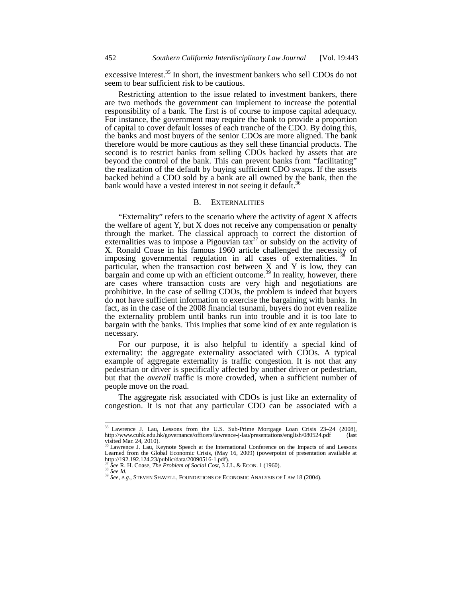excessive interest. $35$  In short, the investment bankers who sell CDOs do not seem to bear sufficient risk to be cautious.

Restricting attention to the issue related to investment bankers, there are two methods the government can implement to increase the potential responsibility of a bank. The first is of course to impose capital adequacy. For instance, the government may require the bank to provide a proportion of capital to cover default losses of each tranche of the CDO. By doing this, the banks and most buyers of the senior CDOs are more aligned. The bank therefore would be more cautious as they sell these financial products. The second is to restrict banks from selling CDOs backed by assets that are beyond the control of the bank. This can prevent banks from "facilitating" the realization of the default by buying sufficient CDO swaps. If the assets backed behind a CDO sold by a bank are all owned by the bank, then the bank would have a vested interest in not seeing it default.<sup>36</sup>

#### B. EXTERNALITIES

"Externality" refers to the scenario where the activity of agent X affects the welfare of agent Y, but X does not receive any compensation or penalty through the market. The classical approach to correct the distortion of externalities was to impose a Pigouvian tax $37$  or subsidy on the activity of X. Ronald Coase in his famous 1960 article challenged the necessity of imposing governmental regulation in all cases of externalities.<sup>38</sup> In particular, when the transaction cost between  $X$  and Y is low, they can bargain and come up with an efficient outcome.<sup>39</sup> In reality, however, there are cases where transaction costs are very high and negotiations are prohibitive. In the case of selling CDOs, the problem is indeed that buyers do not have sufficient information to exercise the bargaining with banks. In fact, as in the case of the 2008 financial tsunami, buyers do not even realize the externality problem until banks run into trouble and it is too late to bargain with the banks. This implies that some kind of ex ante regulation is necessary.

For our purpose, it is also helpful to identify a special kind of externality: the aggregate externality associated with CDOs. A typical example of aggregate externality is traffic congestion. It is not that any pedestrian or driver is specifically affected by another driver or pedestrian, but that the *overall* traffic is more crowded, when a sufficient number of people move on the road.

The aggregate risk associated with CDOs is just like an externality of congestion. It is not that any particular CDO can be associated with a

 $\overline{a}$ 

<sup>&</sup>lt;sup>35</sup> Lawrence J. Lau, Lessons from the U.S. Sub-Prime Mortgage Loan Crisis 23-24 (2008), http://www.cuhk.edu.hk/governance/officers/lawrence-j-lau/presentations/english/080524.pdf (last visited Mar. 24, 2010). <sup>36</sup> Lawrence J. Lau, Keynote Speech at the International Conference on the Impacts of and Lessons

Learned from the Global Economic Crisis, (May 16, 2009) (powerpoint of presentation available at http://192.192.124.23/public/data/20090516-1.pdf).<br> $\frac{37}{28}$  See R. H. Coase, *The Problem of Social Cost*, 3 J.L. & ECON. 1 (1960).

<sup>&</sup>lt;sup>38</sup> See R. H. Coase, *The Problem of Social Cost*, 38 *See Id.*<br><sup>39</sup> *See, e.g.*, STEVEN SHAVELL, FOUNDATIONS OF ECONOMIC ANALYSIS OF LAW 18 (2004).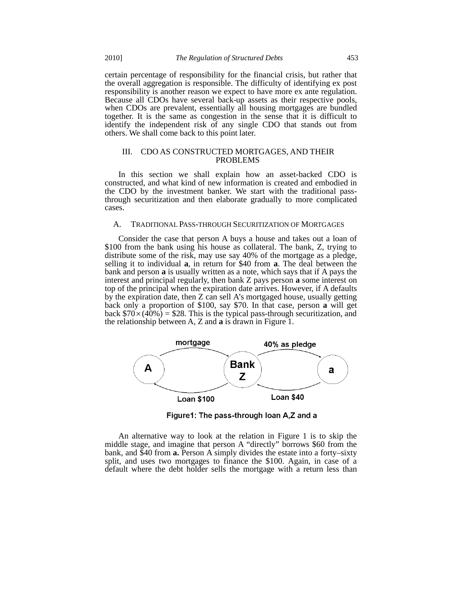certain percentage of responsibility for the financial crisis, but rather that the overall aggregation is responsible. The difficulty of identifying ex post responsibility is another reason we expect to have more ex ante regulation. Because all CDOs have several back-up assets as their respective pools, when CDOs are prevalent, essentially all housing mortgages are bundled together. It is the same as congestion in the sense that it is difficult to identify the independent risk of any single CDO that stands out from others. We shall come back to this point later.

## III. CDO AS CONSTRUCTED MORTGAGES, AND THEIR PROBLEMS

In this section we shall explain how an asset-backed CDO is constructed, and what kind of new information is created and embodied in the CDO by the investment banker. We start with the traditional passthrough securitization and then elaborate gradually to more complicated cases.

## A. TRADITIONAL PASS-THROUGH SECURITIZATION OF MORTGAGES

Consider the case that person A buys a house and takes out a loan of \$100 from the bank using his house as collateral. The bank, Z, trying to distribute some of the risk, may use say 40% of the mortgage as a pledge, selling it to individual **a**, in return for \$40 from **a**. The deal between the bank and person **a** is usually written as a note, which says that if A pays the interest and principal regularly, then bank Z pays person **a** some interest on top of the principal when the expiration date arrives. However, if A defaults by the expiration date, then Z can sell A's mortgaged house, usually getting back only a proportion of \$100, say \$70. In that case, person **a** will get back  $$70\times(40\%)$  = \$28. This is the typical pass-through securitization, and the relationship between A, Z and **a** is drawn in Figure 1.



Figure1: The pass-through loan A,Z and a

An alternative way to look at the relation in Figure 1 is to skip the middle stage, and imagine that person A "directly" borrows \$60 from the bank, and \$40 from **a.** Person A simply divides the estate into a forty–sixty split, and uses two mortgages to finance the \$100. Again, in case of a default where the debt holder sells the mortgage with a return less than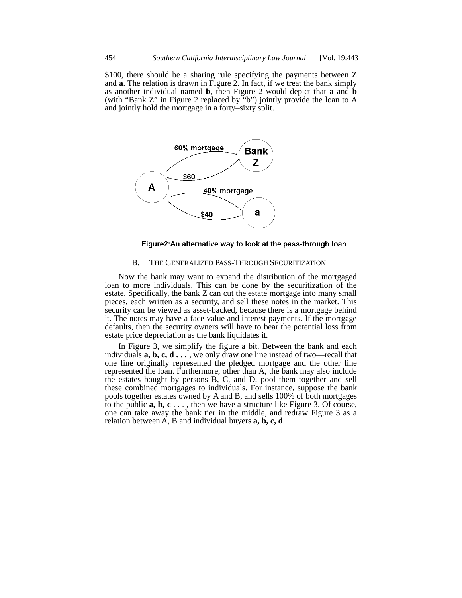\$100, there should be a sharing rule specifying the payments between Z and **a**. The relation is drawn in Figure 2. In fact, if we treat the bank simply as another individual named **b**, then Figure 2 would depict that **a** and **b** (with "Bank Z" in Figure 2 replaced by "b") jointly provide the loan to A and jointly hold the mortgage in a forty–sixty split.



Figure2:An alternative way to look at the pass-through loan

## B. THE GENERALIZED PASS-THROUGH SECURITIZATION

Now the bank may want to expand the distribution of the mortgaged loan to more individuals. This can be done by the securitization of the estate. Specifically, the bank Z can cut the estate mortgage into many small pieces, each written as a security, and sell these notes in the market. This security can be viewed as asset-backed, because there is a mortgage behind it. The notes may have a face value and interest payments. If the mortgage defaults, then the security owners will have to bear the potential loss from estate price depreciation as the bank liquidates it.

In Figure 3, we simplify the figure a bit. Between the bank and each individuals **a, b, c, d . . .** , we only draw one line instead of two—recall that one line originally represented the pledged mortgage and the other line represented the loan. Furthermore, other than A, the bank may also include the estates bought by persons B, C, and D, pool them together and sell these combined mortgages to individuals. For instance, suppose the bank pools together estates owned by A and B, and sells 100% of both mortgages to the public **a, b, c** . . . , then we have a structure like Figure 3. Of course, one can take away the bank tier in the middle, and redraw Figure 3 as a relation between A, B and individual buyers **a, b, c, d**.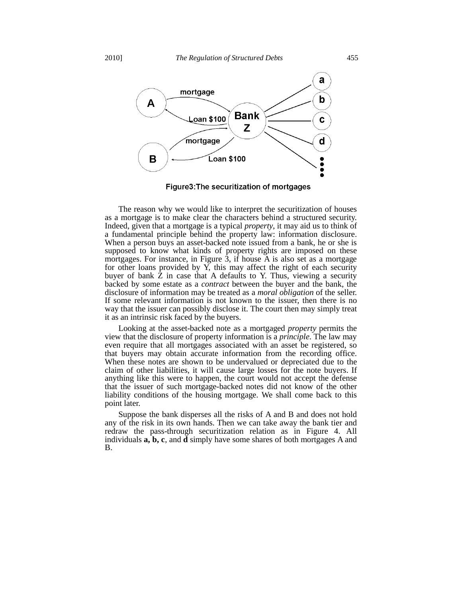

Figure3: The securitization of mortgages

The reason why we would like to interpret the securitization of houses as a mortgage is to make clear the characters behind a structured security. Indeed, given that a mortgage is a typical *property*, it may aid us to think of a fundamental principle behind the property law: information disclosure. When a person buys an asset-backed note issued from a bank, he or she is supposed to know what kinds of property rights are imposed on these mortgages. For instance, in Figure 3, if house A is also set as a mortgage for other loans provided by  $\overline{Y}$ , this may affect the right of each security buyer of bank  $\overline{Z}$  in case that A defaults to Y. Thus, viewing a security backed by some estate as a *contract* between the buyer and the bank, the disclosure of information may be treated as a *moral obligation* of the seller. If some relevant information is not known to the issuer, then there is no way that the issuer can possibly disclose it. The court then may simply treat it as an intrinsic risk faced by the buyers.

Looking at the asset-backed note as a mortgaged *property* permits the view that the disclosure of property information is a *principle*. The law may even require that all mortgages associated with an asset be registered, so that buyers may obtain accurate information from the recording office. When these notes are shown to be undervalued or depreciated due to the claim of other liabilities, it will cause large losses for the note buyers. If anything like this were to happen, the court would not accept the defense that the issuer of such mortgage-backed notes did not know of the other liability conditions of the housing mortgage. We shall come back to this point later.

Suppose the bank disperses all the risks of A and B and does not hold any of the risk in its own hands. Then we can take away the bank tier and redraw the pass-through securitization relation as in Figure 4. All individuals **a, b, c**, and **d** simply have some shares of both mortgages A and B.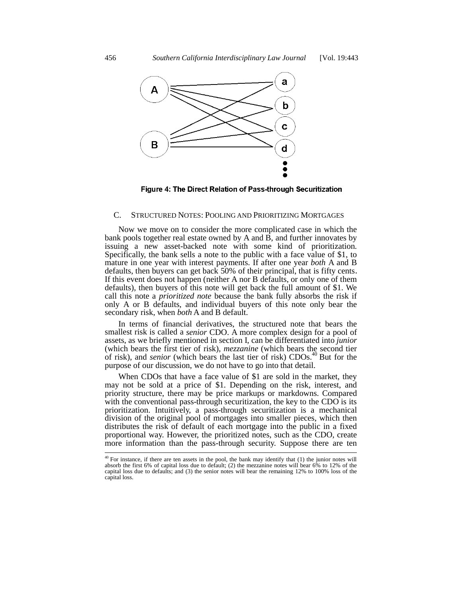

Figure 4: The Direct Relation of Pass-through Securitization

## C. STRUCTURED NOTES: POOLING AND PRIORITIZING MORTGAGES

Now we move on to consider the more complicated case in which the bank pools together real estate owned by A and B, and further innovates by issuing a new asset-backed note with some kind of prioritization. Specifically, the bank sells a note to the public with a face value of \$1, to mature in one year with interest payments. If after one year *both* A and B defaults, then buyers can get back 50% of their principal, that is fifty cents. If this event does not happen (neither A nor B defaults, or only one of them defaults), then buyers of this note will get back the full amount of \$1. We call this note a *prioritized note* because the bank fully absorbs the risk if only A or B defaults, and individual buyers of this note only bear the secondary risk, when *both* A and B default.

In terms of financial derivatives, the structured note that bears the smallest risk is called a *senior* CDO. A more complex design for a pool of assets, as we briefly mentioned in section I, can be differentiated into *junior* (which bears the first tier of risk), *mezzanine* (which bears the second tier of risk), and *senior* (which bears the last tier of risk) CDOs.<sup>40</sup> But for the purpose of our discussion, we do not have to go into that detail.

When CDOs that have a face value of \$1 are sold in the market, they may not be sold at a price of \$1. Depending on the risk, interest, and priority structure, there may be price markups or markdowns. Compared with the conventional pass-through securitization, the key to the CDO is its prioritization. Intuitively, a pass-through securitization is a mechanical division of the original pool of mortgages into smaller pieces, which then distributes the risk of default of each mortgage into the public in a fixed proportional way. However, the prioritized notes, such as the CDO, create more information than the pass-through security. Suppose there are ten

 $40$  For instance, if there are ten assets in the pool, the bank may identify that  $(1)$  the junior notes will absorb the first 6% of capital loss due to default; (2) the mezzanine notes will bear 6% to 12% of the capital loss due to defaults; and (3) the senior notes will bear the remaining 12% to 100% loss of the capital loss.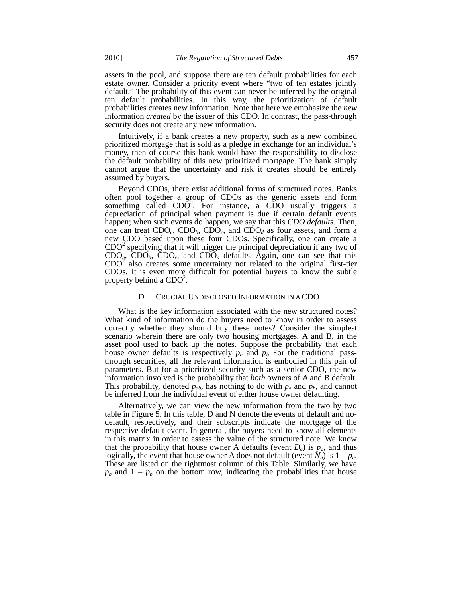assets in the pool, and suppose there are ten default probabilities for each estate owner. Consider a priority event where "two of ten estates jointly default." The probability of this event can never be inferred by the original ten default probabilities. In this way, the prioritization of default probabilities creates new information. Note that here we emphasize the *new* information *created* by the issuer of this CDO. In contrast, the pass-through security does not create any new information.

Intuitively, if a bank creates a new property, such as a new combined prioritized mortgage that is sold as a pledge in exchange for an individual's money, then of course this bank would have the responsibility to disclose the default probability of this new prioritized mortgage. The bank simply cannot argue that the uncertainty and risk it creates should be entirely assumed by buyers.

Beyond CDOs, there exist additional forms of structured notes. Banks often pool together a group of CDOs as the generic assets and form something called  $CD\overline{O}^2$ . For instance, a  $C\overline{DO}$  usually triggers a depreciation of principal when payment is due if certain default events happen; when such events do happen, we say that this *CDO defaults.* Then, one can treat  $CDO<sub>a</sub>$ ,  $CDO<sub>b</sub>$ ,  $CDO<sub>c</sub>$ , and  $CDO<sub>d</sub>$  as four assets, and form a new CDO based upon these four CDOs. Specifically, one can create a  $CDO<sup>2</sup>$  specifying that it will trigger the principal depreciation if any two of  $CDO<sub>a</sub>$ ,  $CDO<sub>b</sub>$ ,  $CDO<sub>c</sub>$ , and  $CDO<sub>d</sub>$  defaults. Again, one can see that this  $CDO<sup>2</sup>$  also creates some uncertainty not related to the original first-tier CDOs. It is even more difficult for potential buyers to know the subtle property behind a  $CDO<sup>2</sup>$ .

#### D. CRUCIAL UNDISCLOSED INFORMATION IN A CDO

What is the key information associated with the new structured notes? What kind of information do the buyers need to know in order to assess correctly whether they should buy these notes? Consider the simplest scenario wherein there are only two housing mortgages, A and B, in the asset pool used to back up the notes. Suppose the probability that each house owner defaults is respectively  $p_a$  and  $p_b$  For the traditional passthrough securities, all the relevant information is embodied in this pair of parameters. But for a prioritized security such as a senior CDO, the new information involved is the probability that *both* owners of A and B default. This probability, denoted  $p_{ab}$ , has nothing to do with  $p_a$  and  $p_b$ , and cannot be inferred from the individual event of either house owner defaulting.

Alternatively, we can view the new information from the two by two table in Figure 5. In this table, D and N denote the events of default and nodefault, respectively, and their subscripts indicate the mortgage of the respective default event. In general, the buyers need to know all elements in this matrix in order to assess the value of the structured note. We know that the probability that house owner A defaults (event  $D_a$ ) is  $p_a$ , and thus logically, the event that house owner A does not default (event  $N_a$ ) is  $1 - p_a$ . These are listed on the rightmost column of this Table. Similarly, we have  $p_b$  and  $1 - p_b$  on the bottom row, indicating the probabilities that house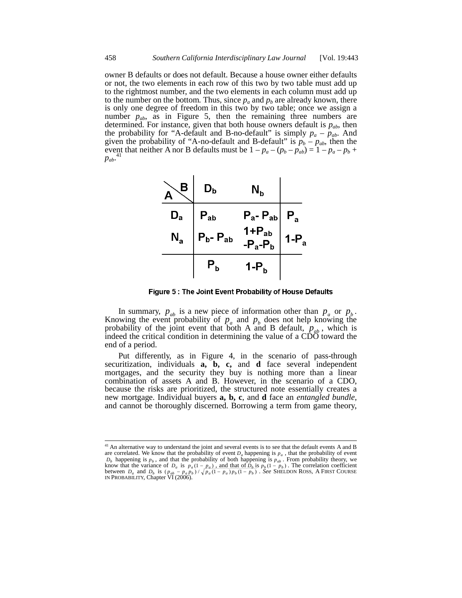owner B defaults or does not default. Because a house owner either defaults or not, the two elements in each row of this two by two table must add up to the rightmost number, and the two elements in each column must add up to the number on the bottom. Thus, since  $p_a$  and  $p_b$  are already known, there is only one degree of freedom in this two by two table; once we assign a number  $p_{ab}$ , as in Figure 5, then the remaining three numbers are determined. For instance, given that both house owners default is  $p_{ab}$ , then the probability for "A-default and B-no-default" is simply  $p_a - p_{ab}$ . And given the probability of "A-no-default and B-default" is  $p_b - p_{ab}$ , then the event that neither A nor B defaults must be  $1 - p_a - (p_b - p_{ab}) = 1 - p_a - p_b +$  $p_{ab}$ <sup>41</sup>



Figure 5: The Joint Event Probability of House Defaults

In summary,  $p_{ab}$  is a new piece of information other than  $p_a$  or  $p_b$ .<br>Knowing the event probability of  $p_a$  and  $p_b$  does not help knowing the probability of the joint event that both A and B default,  $p_{ab}$ , which is indeed the critical condition in determining the value of a  $\widehat{\text{CDO}}$  toward the end of a period.

Put differently, as in Figure 4, in the scenario of pass-through securitization, individuals **a, b, c,** and **d** face several independent mortgages, and the security they buy is nothing more than a linear combination of assets A and B. However, in the scenario of a CDO, because the risks are prioritized, the structured note essentially creates a new mortgage. Individual buyers **a, b, c**, and **d** face an *entangled bundle,* and cannot be thoroughly discerned. Borrowing a term from game theory,

 $\overline{\phantom{a}}$ 

 $41$  An alternative way to understand the joint and several events is to see that the default events A and B are correlated. We know that the probability of event *Da* happening is *pa* , that the probability of event  $D_b$  happening is  $p_b$ , and that the probability of both happening is  $p_{ab}$ . From probability theory, we know that the variance of  $D_a$  is  $p_a(1 - p_a)$ , and that of  $D_b$  is  $p_b(1 - p_b)$ . The correlation coefficient between  $D_a$  and  $D_b$  is  $(p_{ab} - p_a p_b) / \sqrt{p_a (1 - p_a) p_b (1 - p_b)}$ . *See* SHELDON ROSS, A FIRST COURSE IN PROBABILITY, Chapter VI (2006).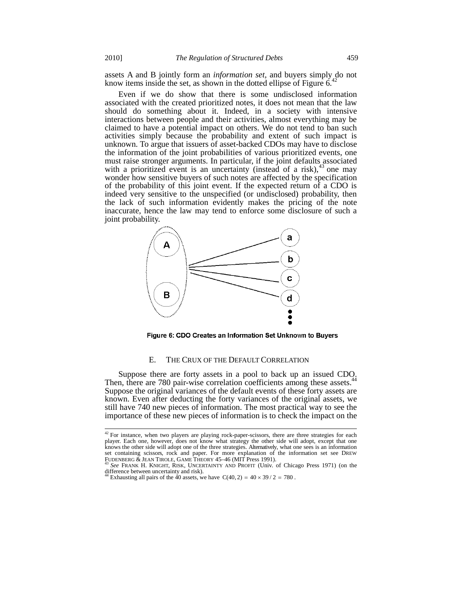assets A and B jointly form an *information set,* and buyers simply do not know items inside the set, as shown in the dotted ellipse of Figure  $6<sup>4</sup>$ 

Even if we do show that there is some undisclosed information associated with the created prioritized notes, it does not mean that the law should do something about it. Indeed, in a society with intensive interactions between people and their activities, almost everything may be claimed to have a potential impact on others. We do not tend to ban such activities simply because the probability and extent of such impact is unknown. To argue that issuers of asset-backed CDOs may have to disclose the information of the joint probabilities of various prioritized events, one must raise stronger arguments. In particular, if the joint defaults associated with a prioritized event is an uncertainty (instead of a risk),  $43$  one may wonder how sensitive buyers of such notes are affected by the specification of the probability of this joint event. If the expected return of a CDO is indeed very sensitive to the unspecified (or undisclosed) probability, then the lack of such information evidently makes the pricing of the note inaccurate, hence the law may tend to enforce some disclosure of such a joint probability.



Figure 6: CDO Creates an Information Set Unknown to Buyers

#### E. THE CRUX OF THE DEFAULT CORRELATION

Suppose there are forty assets in a pool to back up an issued CDO. Then, there are 780 pair-wise correlation coefficients among these assets.<sup>4</sup> Suppose the original variances of the default events of these forty assets are known. Even after deducting the forty variances of the original assets, we still have 740 new pieces of information. The most practical way to see the importance of these new pieces of information is to check the impact on the

 $\overline{\phantom{a}}$ 

 $42$  For instance, when two players are playing rock-paper-scissors, there are three strategies for each player. Each one, however, does not know what strategy the other side will adopt, except that one knows the other side will adopt one of the three strategies. Alternatively, what one sees is an information set containing scissors, rock and paper. For more explanation of the information set see DREW<br>FUDENBERG & JEAN TIROLE, GAME THEORY 45–46 (MIT Press 1991).

See FRANK H. KNIGHT, RISK, UNCERTAINTY AND PROFIT (Univ. of Chicago Press 1971) (on the difference between uncertainty and risk).

Exhausting all pairs of the 40 assets, we have  $C(40, 2) = 40 \times 39 / 2 = 780$ .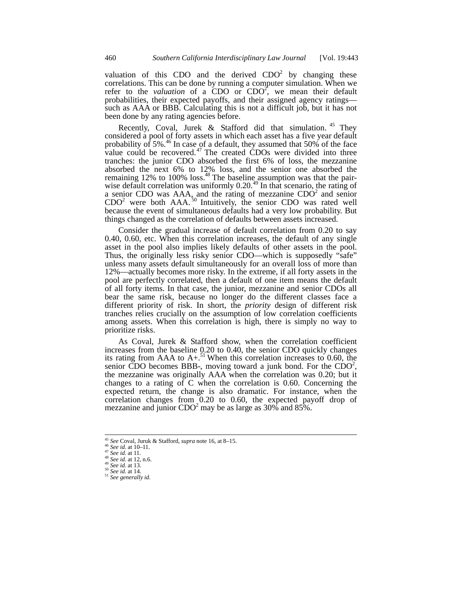valuation of this CDO and the derived  $CDO<sup>2</sup>$  by changing these correlations. This can be done by running a computer simulation. When we refer to the *valuation* of a CDO or  $CDO<sup>2</sup>$ , we mean their default probabilities, their expected payoffs, and their assigned agency ratings such as AAA or BBB. Calculating this is not a difficult job, but it has not been done by any rating agencies before.

Recently, Coval, Jurek & Stafford did that simulation.<sup>45</sup> They considered a pool of forty assets in which each asset has a five year default probability of  $5\%$ .<sup>46</sup> In case of a default, they assumed that  $50\%$  of the face value could be recovered. $47$  The created CDOs were divided into three tranches: the junior CDO absorbed the first 6% of loss, the mezzanine absorbed the next 6% to 12% loss, and the senior one absorbed the remaining 12% to 100% loss. $48$  The baseline assumption was that the pairwise default correlation was uniformly  $0.20$ .<sup>49</sup> In that scenario, the rating of a senior CDO was  $AAA$ , and the rating of mezzanine  $CDO<sup>2</sup>$  and senior  $CDO<sup>2</sup>$  were both AAA.<sup>50</sup> Intuitively, the senior CDO was rated well because the event of simultaneous defaults had a very low probability. But things changed as the correlation of defaults between assets increased.

Consider the gradual increase of default correlation from 0.20 to say 0.40, 0.60, etc. When this correlation increases, the default of any single asset in the pool also implies likely defaults of other assets in the pool. Thus, the originally less risky senior CDO—which is supposedly "safe" unless many assets default simultaneously for an overall loss of more than 12%—actually becomes more risky. In the extreme, if all forty assets in the pool are perfectly correlated, then a default of one item means the default of all forty items. In that case, the junior, mezzanine and senior CDOs all bear the same risk, because no longer do the different classes face a different priority of risk. In short, the *priority* design of different risk tranches relies crucially on the assumption of low correlation coefficients among assets. When this correlation is high, there is simply no way to prioritize risks.

As Coval, Jurek & Stafford show, when the correlation coefficient increases from the baseline 0.20 to 0.40, the senior CDO quickly changes its rating from AAA to  $A +$ .<sup>51</sup> When this correlation increases to 0.60, the senior CDO becomes BBB-, moving toward a junk bond. For the  $CDO<sup>2</sup>$ , the mezzanine was originally AAA when the correlation was 0.20; but it changes to a rating of C when the correlation is 0.60. Concerning the expected return, the change is also dramatic. For instance, when the correlation changes from 0.20 to 0.60, the expected payoff drop of mezzanine and junior  $CDO<sup>2</sup>$  may be as large as 30% and 85%.

<sup>&</sup>lt;sup>45</sup> See Coval, Juruk & Stafford, *supra* note 16, at 8–15.<br><sup>46</sup> See id. at 10–11.<br><sup>47</sup> See id. at 11.<br><sup>48</sup> See id. at 12, n.6.<br><sup>48</sup> See id. at 13.<br><sup>50</sup> See id. at 14.<br><sup>51</sup> See generally id.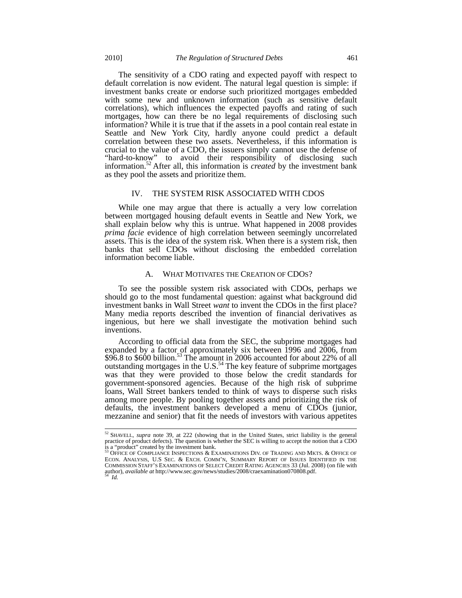The sensitivity of a CDO rating and expected payoff with respect to default correlation is now evident. The natural legal question is simple: if investment banks create or endorse such prioritized mortgages embedded with some new and unknown information (such as sensitive default correlations), which influences the expected payoffs and rating of such mortgages, how can there be no legal requirements of disclosing such information? While it is true that if the assets in a pool contain real estate in Seattle and New York City, hardly anyone could predict a default correlation between these two assets. Nevertheless, if this information is crucial to the value of a CDO, the issuers simply cannot use the defense of "hard-to-know" to avoid their responsibility of disclosing such information.52 After all, this information is *created* by the investment bank as they pool the assets and prioritize them.

#### IV. THE SYSTEM RISK ASSOCIATED WITH CDOS

While one may argue that there is actually a very low correlation between mortgaged housing default events in Seattle and New York, we shall explain below why this is untrue. What happened in 2008 provides *prima facie* evidence of high correlation between seemingly uncorrelated assets. This is the idea of the system risk. When there is a system risk, then banks that sell CDOs without disclosing the embedded correlation information become liable.

## A. WHAT MOTIVATES THE CREATION OF CDOS?

To see the possible system risk associated with CDOs, perhaps we should go to the most fundamental question: against what background did investment banks in Wall Street *want* to invent the CDOs in the first place? Many media reports described the invention of financial derivatives as ingenious, but here we shall investigate the motivation behind such inventions.

According to official data from the SEC, the subprime mortgages had expanded by a factor of approximately six between 1996 and 2006, from  $$96.8$  to  $$600$  billion.<sup>53</sup> The amount in 2006 accounted for about 22% of all outstanding mortgages in the U.S. $54$  The key feature of subprime mortgages was that they were provided to those below the credit standards for government-sponsored agencies. Because of the high risk of subprime loans, Wall Street bankers tended to think of ways to disperse such risks among more people. By pooling together assets and prioritizing the risk of defaults, the investment bankers developed a menu of CDOs (junior, mezzanine and senior) that fit the needs of investors with various appetites

<sup>52</sup> SHAVELL, *supra* note 39, at 222 (showing that in the United States, strict liability is the general practice of product defects). The question is whether the SEC is willing to accept the notion that a CDO is a "product" created by the investment bank.<br><sup>53</sup> OFFICE OF COMPLIANCE INSPECTIONS & EXAMINATIONS DIV. OF TRADING AND MKTS. & OFFICE OF

ECON. ANALYSIS, U.S SEC. & EXCH. COMM'N, SUMMARY REPORT OF ISSUES IDENTIFIED IN THE COMMISSION STAFF'S EXAMINATIONS OF SELECT CREDIT RATING AGENCIES 33 (Jul. 2008) (on file with author), *available at* http://www.sec.gov/news/studies/2008/craexamination070808.pdf.  $Id$ .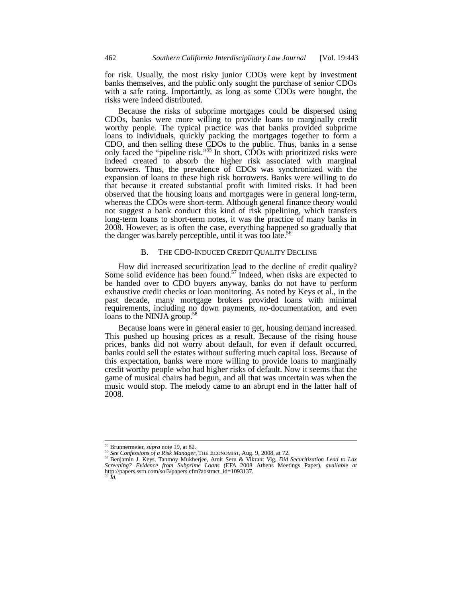for risk. Usually, the most risky junior CDOs were kept by investment banks themselves, and the public only sought the purchase of senior CDOs with a safe rating. Importantly, as long as some CDOs were bought, the risks were indeed distributed.

Because the risks of subprime mortgages could be dispersed using CDOs, banks were more willing to provide loans to marginally credit worthy people. The typical practice was that banks provided subprime loans to individuals, quickly packing the mortgages together to form a CDO, and then selling these CDOs to the public. Thus, banks in a sense only faced the "pipeline risk."<sup>55</sup> In short, CDOs with prioritized risks were indeed created to absorb the higher risk associated with marginal borrowers. Thus, the prevalence of CDOs was synchronized with the expansion of loans to these high risk borrowers. Banks were willing to do that because it created substantial profit with limited risks. It had been observed that the housing loans and mortgages were in general long-term, whereas the CDOs were short-term. Although general finance theory would not suggest a bank conduct this kind of risk pipelining, which transfers long-term loans to short-term notes, it was the practice of many banks in 2008. However, as is often the case, everything happened so gradually that the danger was barely perceptible, until it was too late.<sup>56</sup>

## B. THE CDO-INDUCED CREDIT QUALITY DECLINE

How did increased securitization lead to the decline of credit quality? Some solid evidence has been found.<sup>57</sup> Indeed, when risks are expected to be handed over to CDO buyers anyway, banks do not have to perform exhaustive credit checks or loan monitoring. As noted by Keys et al., in the past decade, many mortgage brokers provided loans with minimal requirements, including no down payments, no-documentation, and even loans to the NINJA group.<sup>5</sup>

Because loans were in general easier to get, housing demand increased. This pushed up housing prices as a result. Because of the rising house prices, banks did not worry about default, for even if default occurred, banks could sell the estates without suffering much capital loss. Because of this expectation, banks were more willing to provide loans to marginally credit worthy people who had higher risks of default. Now it seems that the game of musical chairs had begun, and all that was uncertain was when the music would stop. The melody came to an abrupt end in the latter half of 2008.

<sup>&</sup>lt;sup>55</sup> Brunnermeier, *supra* note 19, at 82.<br><sup>56</sup> See Confessions of a Risk Manager, THE ECONOMIST, Aug. 9, 2008, at 72.<br><sup>57</sup> Benjamin J. Keys, Tanmoy Mukherjee, Amit Seru & Vikrant Vig, *Did Securitization Lead to Lax* <sup>57</sup> Benjamin J. Keys, Tanmoy Mukherjee, Amit Seru & Vikrant Vig, *Did Securitization Lead to Lax* Screening? *Evidence from Subprime Loans* (EFA 2008 Athens Meetings Paper), *available at* http://papers.ssrn.com/sol3/papers.cfm?abstract\_id=1093137. <sup>58</sup> *Id.*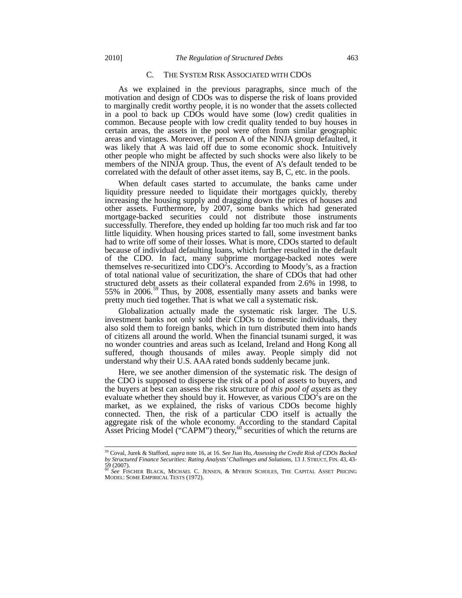## C. THE SYSTEM RISK ASSOCIATED WITH CDOS

As we explained in the previous paragraphs, since much of the motivation and design of CDOs was to disperse the risk of loans provided to marginally credit worthy people, it is no wonder that the assets collected in a pool to back up CDOs would have some (low) credit qualities in common. Because people with low credit quality tended to buy houses in certain areas, the assets in the pool were often from similar geographic areas and vintages. Moreover, if person A of the NINJA group defaulted, it was likely that A was laid off due to some economic shock. Intuitively other people who might be affected by such shocks were also likely to be members of the NINJA group. Thus, the event of A's default tended to be correlated with the default of other asset items, say B, C, etc. in the pools.

When default cases started to accumulate, the banks came under liquidity pressure needed to liquidate their mortgages quickly, thereby increasing the housing supply and dragging down the prices of houses and other assets. Furthermore, by 2007, some banks which had generated mortgage-backed securities could not distribute those instruments successfully. Therefore, they ended up holding far too much risk and far too little liquidity. When housing prices started to fall, some investment banks had to write off some of their losses. What is more, CDOs started to default because of individual defaulting loans, which further resulted in the default of the CDO. In fact, many subprime mortgage-backed notes were themselves re-securitized into  $CDO<sup>2</sup>$ . According to Moody's, as a fraction of total national value of securitization, the share of CDOs that had other structured debt assets as their collateral expanded from 2.6% in 1998, to 55% in 2006.<sup>59</sup> Thus, by 2008, essentially many assets and banks were pretty much tied together. That is what we call a systematic risk.

Globalization actually made the systematic risk larger. The U.S. investment banks not only sold their CDOs to domestic individuals, they also sold them to foreign banks, which in turn distributed them into hands of citizens all around the world. When the financial tsunami surged, it was no wonder countries and areas such as Iceland, Ireland and Hong Kong all suffered, though thousands of miles away. People simply did not understand why their U.S. AAA rated bonds suddenly became junk.

Here, we see another dimension of the systematic risk. The design of the CDO is supposed to disperse the risk of a pool of assets to buyers, and the buyers at best can assess the risk structure of *this pool of assets* as they evaluate whether they should buy it. However, as various  $\r{CDO}^2$ s are on the market, as we explained, the risks of various CDOs become highly connected. Then, the risk of a particular CDO itself is actually the aggregate risk of the whole economy. According to the standard Capital Asset Pricing Model ("CAPM") theory,  $60$  securities of which the returns are

<sup>59</sup> Coval, Jurek & Stafford, *supra* note 16, at 16. *See* Jian Hu, *Assessing the Credit Risk of CDOs Backed by Structured Finance Securities: Rating Analysts' Challenges and Solutions*, 13 J. STRUCT, FIN. 43, 43-

<sup>59 (2007).</sup> <sup>60</sup> *See* FISCHER BLACK, MICHAEL C. JENSEN, & MYRON SCHOLES, THE CAPITAL ASSET PRICING MODEL: SOME EMPIRICAL TESTS (1972).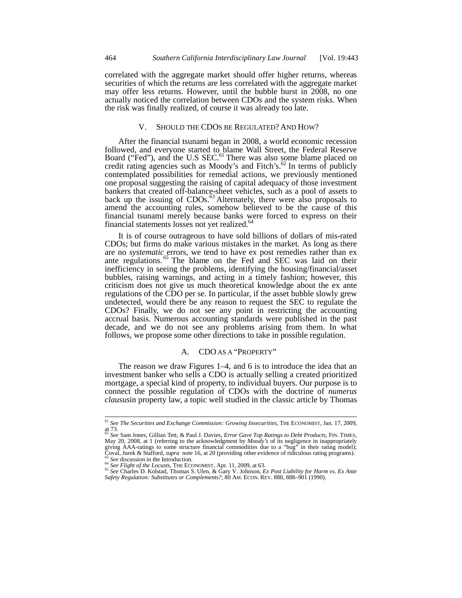correlated with the aggregate market should offer higher returns, whereas securities of which the returns are less correlated with the aggregate market may offer less returns. However, until the bubble burst in 2008, no one actually noticed the correlation between CDOs and the system risks. When the risk was finally realized, of course it was already too late.

#### V. SHOULD THE CDOS BE REGULATED? AND HOW?

After the financial tsunami began in 2008, a world economic recession followed, and everyone started to blame Wall Street, the Federal Reserve Board ("Fed"), and the U.S SEC.<sup>61</sup> There was also some blame placed on credit rating agencies such as Moody's and Fitch's.<sup>62</sup> In terms of publicly contemplated possibilities for remedial actions, we previously mentioned one proposal suggesting the raising of capital adequacy of those investment bankers that created off-balance-sheet vehicles, such as a pool of assets to back up the issuing of CDOs.<sup>63</sup> Alternately, there were also proposals to amend the accounting rules, somehow believed to be the cause of this financial tsunami merely because banks were forced to express on their financial statements losses not yet realized.<sup>64</sup>

It is of course outrageous to have sold billions of dollars of mis-rated CDOs; but firms do make various mistakes in the market. As long as there are no *systematic* errors, we tend to have ex post remedies rather than ex ante regulations. <sup>65</sup> The blame on the Fed and SEC was laid on their inefficiency in seeing the problems, identifying the housing/financial/asset bubbles, raising warnings, and acting in a timely fashion; however, this criticism does not give us much theoretical knowledge about the ex ante regulations of the CDO per se. In particular, if the asset bubble slowly grew undetected, would there be any reason to request the SEC to regulate the CDOs? Finally, we do not see any point in restricting the accounting accrual basis. Numerous accounting standards were published in the past decade, and we do not see any problems arising from them. In what follows, we propose some other directions to take in possible regulation.

#### A. CDO AS A "PROPERTY"

The reason we draw Figures 1–4, and 6 is to introduce the idea that an investment banker who sells a CDO is actually selling a created prioritized mortgage, a special kind of property, to individual buyers. Our purpose is to connect the possible regulation of CDOs with the doctrine of *numerus clausus*in property law, a topic well studied in the classic article by Thomas

<sup>61</sup> *See The Securities and Exchange Commission: Growing Insecurities*, THE ECONOMIST*,* Jan. 17, 2009, at 73. <sup>62</sup> *See* Sam Jones, Gillian Tett, & Paul J. Davies, *Error Gave Top Ratings to Debt Products*, FIN. TIMES,

May 20, 2008, at 1 (referring to the acknowledgment by *Moody's* of its negligence in inappropriately giving AAA-ratings to some structure financial commodities due to a "bug" in their rating model); <sup>63</sup> See discussion in the Introduction.<br><sup>64</sup> See Flight of the Locusts, THE ECONOMIST, Apr. 11, 2009, at 63.<br><sup>65</sup> See Charles D. Kolstad, Thomas S. Ulen, & Gary V. Johnson, *Ex Post Liability for Harm vs. Ex Ante* 

*Safety Regulation: Substitutes or Complements?*, 80 AM. ECON. REV. 888, 888–901 (1990).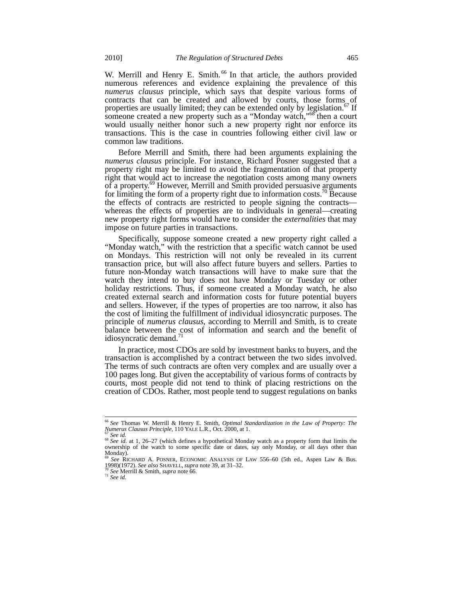W. Merrill and Henry E. Smith.<sup>66</sup> In that article, the authors provided numerous references and evidence explaining the prevalence of this *numerus clausus* principle, which says that despite various forms of contracts that can be created and allowed by courts, those forms of properties are usually limited; they can be extended only by legislation.<sup>67</sup> If someone created a new property such as a "Monday watch,"<sup>68</sup> then a court would usually neither honor such a new property right nor enforce its transactions. This is the case in countries following either civil law or common law traditions.

Before Merrill and Smith, there had been arguments explaining the *numerus clausus* principle. For instance, Richard Posner suggested that a property right may be limited to avoid the fragmentation of that property right that would act to increase the negotiation costs among many owners of a property.<sup>69</sup> However, Merrill and Smith provided persuasive arguments for limiting the form of a property right due to information costs.<sup>70</sup> Because the effects of contracts are restricted to people signing the contracts whereas the effects of properties are to individuals in general—creating new property right forms would have to consider the *externalities* that may impose on future parties in transactions.

Specifically, suppose someone created a new property right called a "Monday watch," with the restriction that a specific watch cannot be used on Mondays. This restriction will not only be revealed in its current transaction price, but will also affect future buyers and sellers. Parties to future non-Monday watch transactions will have to make sure that the watch they intend to buy does not have Monday or Tuesday or other holiday restrictions. Thus, if someone created a Monday watch, he also created external search and information costs for future potential buyers and sellers. However, if the types of properties are too narrow, it also has the cost of limiting the fulfillment of individual idiosyncratic purposes. The principle of *numerus clausus*, according to Merrill and Smith, is to create balance between the cost of information and search and the benefit of idiosyncratic demand.<sup>71</sup>

In practice, most CDOs are sold by investment banks to buyers, and the transaction is accomplished by a contract between the two sides involved. The terms of such contracts are often very complex and are usually over a 100 pages long. But given the acceptability of various forms of contracts by courts, most people did not tend to think of placing restrictions on the creation of CDOs. Rather, most people tend to suggest regulations on banks

<sup>66</sup> *See* Thomas W. Merrill & Henry E. Smith, *Optimal Standardization in the Law of Property: The* 

<sup>&</sup>lt;sup>67</sup> See id.<br><sup>68</sup> See id. at 1, 26–27 (which defines a hypothetical Monday watch as a property form that limits the ownership of the watch to some specific date or dates, say only Monday, or all days other than Monday).

<sup>69</sup> *See* RICHARD A. POSNER, ECONOMIC ANALYSIS OF LAW 556–60 (5th ed., Aspen Law & Bus. 1998)(1972). *See also* SHAVELL, *supra* note 39, at 31–32. <sup>70</sup> *See* Merrill & Smith, *supra* note 66. <sup>71</sup> *See id.*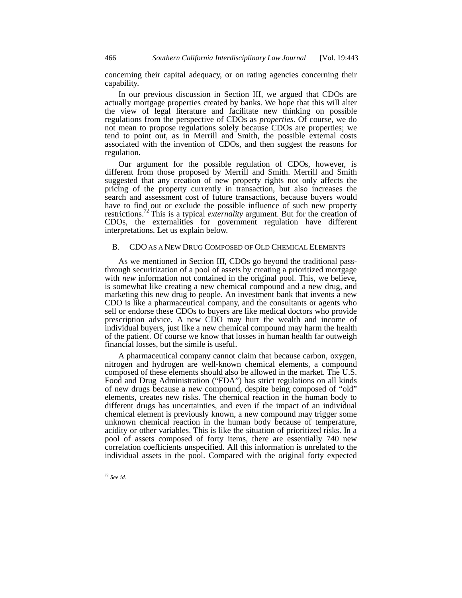concerning their capital adequacy, or on rating agencies concerning their capability.

In our previous discussion in Section III, we argued that CDOs are actually mortgage properties created by banks. We hope that this will alter the view of legal literature and facilitate new thinking on possible regulations from the perspective of CDOs as *properties*. Of course, we do not mean to propose regulations solely because CDOs are properties; we tend to point out, as in Merrill and Smith, the possible external costs associated with the invention of CDOs, and then suggest the reasons for regulation.

Our argument for the possible regulation of CDOs, however, is different from those proposed by Merrill and Smith. Merrill and Smith suggested that any creation of new property rights not only affects the pricing of the property currently in transaction, but also increases the search and assessment cost of future transactions, because buyers would have to find out or exclude the possible influence of such new property restrictions.72 This is a typical *externality* argument. But for the creation of CDOs, the externalities for government regulation have different interpretations. Let us explain below.

### B. CDO AS A NEW DRUG COMPOSED OF OLD CHEMICAL ELEMENTS

As we mentioned in Section III, CDOs go beyond the traditional passthrough securitization of a pool of assets by creating a prioritized mortgage with *new* information not contained in the original pool. This, we believe, is somewhat like creating a new chemical compound and a new drug, and marketing this new drug to people. An investment bank that invents a new CDO is like a pharmaceutical company, and the consultants or agents who sell or endorse these CDOs to buyers are like medical doctors who provide prescription advice. A new CDO may hurt the wealth and income of individual buyers, just like a new chemical compound may harm the health of the patient. Of course we know that losses in human health far outweigh financial losses, but the simile is useful.

A pharmaceutical company cannot claim that because carbon, oxygen, nitrogen and hydrogen are well-known chemical elements, a compound composed of these elements should also be allowed in the market. The U.S. Food and Drug Administration ("FDA") has strict regulations on all kinds of new drugs because a new compound, despite being composed of "old" elements, creates new risks. The chemical reaction in the human body to different drugs has uncertainties, and even if the impact of an individual chemical element is previously known, a new compound may trigger some unknown chemical reaction in the human body because of temperature, acidity or other variables. This is like the situation of prioritized risks. In a pool of assets composed of forty items, there are essentially 740 new correlation coefficients unspecified. All this information is unrelated to the individual assets in the pool. Compared with the original forty expected

<sup>72</sup> *See id.*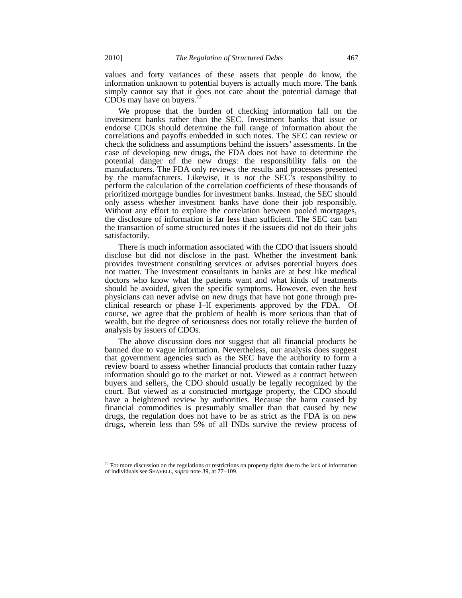values and forty variances of these assets that people do know, the information unknown to potential buyers is actually much more. The bank simply cannot say that it does not care about the potential damage that  $CDOs$  may have on buyers.<sup>73</sup>

We propose that the burden of checking information fall on the investment banks rather than the SEC. Investment banks that issue or endorse CDOs should determine the full range of information about the correlations and payoffs embedded in such notes. The SEC can review or check the solidness and assumptions behind the issuers' assessments. In the case of developing new drugs, the FDA does not have to determine the potential danger of the new drugs: the responsibility falls on the manufacturers. The FDA only reviews the results and processes presented by the manufacturers. Likewise, it is *not* the SEC's responsibility to perform the calculation of the correlation coefficients of these thousands of prioritized mortgage bundles for investment banks. Instead, the SEC should only assess whether investment banks have done their job responsibly. Without any effort to explore the correlation between pooled mortgages, the disclosure of information is far less than sufficient. The SEC can ban the transaction of some structured notes if the issuers did not do their jobs satisfactorily.

There is much information associated with the CDO that issuers should disclose but did not disclose in the past. Whether the investment bank provides investment consulting services or advises potential buyers does not matter. The investment consultants in banks are at best like medical doctors who know what the patients want and what kinds of treatments should be avoided, given the specific symptoms. However, even the best physicians can never advise on new drugs that have not gone through preclinical research or phase I–II experiments approved by the FDA. Of course, we agree that the problem of health is more serious than that of wealth, but the degree of seriousness does not totally relieve the burden of analysis by issuers of CDOs.

The above discussion does not suggest that all financial products be banned due to vague information. Nevertheless, our analysis does suggest that government agencies such as the SEC have the authority to form a review board to assess whether financial products that contain rather fuzzy information should go to the market or not. Viewed as a contract between buyers and sellers, the CDO should usually be legally recognized by the court. But viewed as a constructed mortgage property, the CDO should have a heightened review by authorities. Because the harm caused by financial commodities is presumably smaller than that caused by new drugs, the regulation does not have to be as strict as the FDA is on new drugs, wherein less than 5% of all INDs survive the review process of

 $73$  For more discussion on the regulations or restrictions on property rights due to the lack of information of individuals see SHAVELL, *supra* note 39, at 77–109.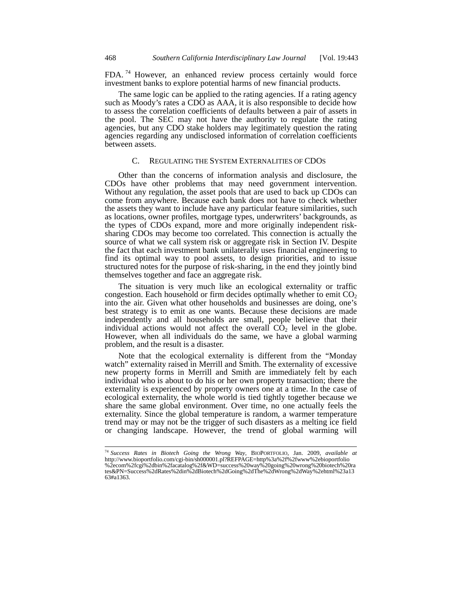FDA. <sup>74</sup> However, an enhanced review process certainly would force investment banks to explore potential harms of new financial products.

The same logic can be applied to the rating agencies. If a rating agency such as Moody's rates a CDO as AAA, it is also responsible to decide how to assess the correlation coefficients of defaults between a pair of assets in the pool. The SEC may not have the authority to regulate the rating agencies, but any CDO stake holders may legitimately question the rating agencies regarding any undisclosed information of correlation coefficients between assets.

## C. REGULATING THE SYSTEM EXTERNALITIES OF CDOS

Other than the concerns of information analysis and disclosure, the CDOs have other problems that may need government intervention. Without any regulation, the asset pools that are used to back up CDOs can come from anywhere. Because each bank does not have to check whether the assets they want to include have any particular feature similarities, such as locations, owner profiles, mortgage types, underwriters' backgrounds, as the types of CDOs expand, more and more originally independent risksharing CDOs may become too correlated. This connection is actually the source of what we call system risk or aggregate risk in Section IV. Despite the fact that each investment bank unilaterally uses financial engineering to find its optimal way to pool assets, to design priorities, and to issue structured notes for the purpose of risk-sharing, in the end they jointly bind themselves together and face an aggregate risk.

The situation is very much like an ecological externality or traffic congestion. Each household or firm decides optimally whether to emit  $CO<sub>2</sub>$ into the air. Given what other households and businesses are doing, one's best strategy is to emit as one wants. Because these decisions are made independently and all households are small, people believe that their individual actions would not affect the overall  $\overrightarrow{CO}_2$  level in the globe. However, when all individuals do the same, we have a global warming problem, and the result is a disaster.

Note that the ecological externality is different from the "Monday watch" externality raised in Merrill and Smith. The externality of excessive new property forms in Merrill and Smith are immediately felt by each individual who is about to do his or her own property transaction; there the externality is experienced by property owners one at a time. In the case of ecological externality, the whole world is tied tightly together because we share the same global environment. Over time, no one actually feels the externality. Since the global temperature is random, a warmer temperature trend may or may not be the trigger of such disasters as a melting ice field or changing landscape. However, the trend of global warming will

<sup>74</sup> *Success Rates in Biotech Going the Wrong Way*, BIOPORTFOLIO, Jan. 2009, *available at* http://www.bioportfolio.com/cgi-bin/sh000001.pl?REFPAGE=http%3a%2f%2fwww%2ebioportfolio %2ecom%2fcgi%2dbin%2facatalog%2f&WD=success%20way%20going%20wrong%20biotech%20ra tes&PN=Success%2dRates%2din%2dBiotech%2dGoing%2dThe%2dWrong%2dWay%2ehtml%23a13 63#a1363.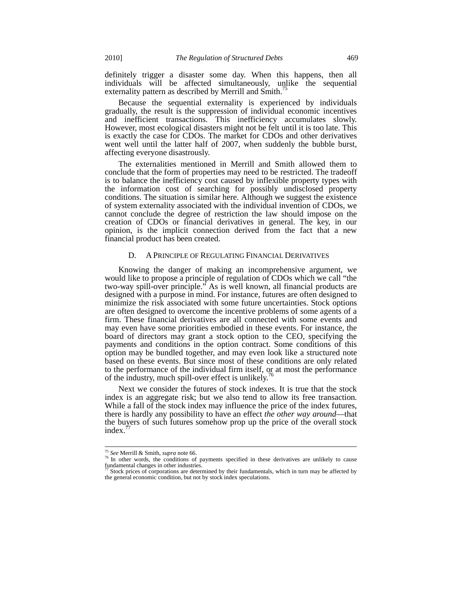definitely trigger a disaster some day. When this happens, then all individuals will be affected simultaneously, unlike the sequential externality pattern as described by Merrill and Smith.<sup>75</sup>

Because the sequential externality is experienced by individuals gradually, the result is the suppression of individual economic incentives and inefficient transactions. This inefficiency accumulates slowly. However, most ecological disasters might not be felt until it is too late. This is exactly the case for CDOs. The market for CDOs and other derivatives went well until the latter half of 2007, when suddenly the bubble burst, affecting everyone disastrously.

The externalities mentioned in Merrill and Smith allowed them to conclude that the form of properties may need to be restricted. The tradeoff is to balance the inefficiency cost caused by inflexible property types with the information cost of searching for possibly undisclosed property conditions. The situation is similar here. Although we suggest the existence of system externality associated with the individual invention of CDOs, we cannot conclude the degree of restriction the law should impose on the creation of CDOs or financial derivatives in general. The key, in our opinion, is the implicit connection derived from the fact that a new financial product has been created.

#### D. A PRINCIPLE OF REGULATING FINANCIAL DERIVATIVES

Knowing the danger of making an incomprehensive argument, we would like to propose a principle of regulation of CDOs which we call "the two-way spill-over principle." As is well known, all financial products are designed with a purpose in mind. For instance, futures are often designed to minimize the risk associated with some future uncertainties. Stock options are often designed to overcome the incentive problems of some agents of a firm. These financial derivatives are all connected with some events and may even have some priorities embodied in these events. For instance, the board of directors may grant a stock option to the CEO, specifying the payments and conditions in the option contract. Some conditions of this option may be bundled together, and may even look like a structured note based on these events. But since most of these conditions are only related to the performance of the individual firm itself, or at most the performance of the industry, much spill-over effect is unlikely.<sup>76</sup>

Next we consider the futures of stock indexes. It is true that the stock index is an aggregate risk; but we also tend to allow its free transaction. While a fall of the stock index may influence the price of the index futures, there is hardly any possibility to have an effect *the other way around*—that the buyers of such futures somehow prop up the price of the overall stock index.'

<sup>&</sup>lt;sup>75</sup> See Merrill & Smith, supra note 66.

<sup>&</sup>lt;sup>76</sup> In other words, the conditions of payments specified in these derivatives are unlikely to cause fundamental changes in other industries.

Stock prices of corporations are determined by their fundamentals, which in turn may be affected by the general economic condition, but not by stock index speculations.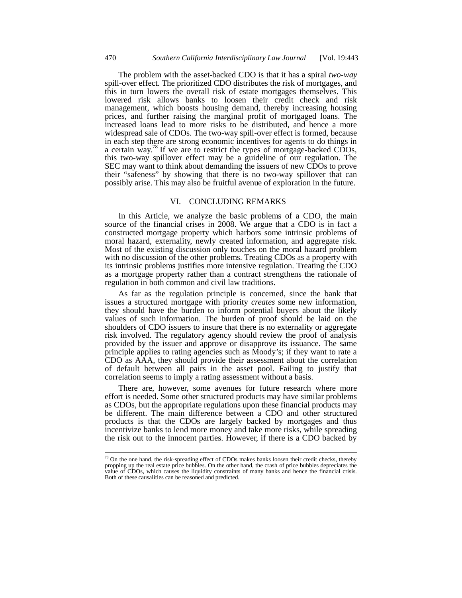The problem with the asset-backed CDO is that it has a spiral *two-way* spill-over effect. The prioritized CDO distributes the risk of mortgages, and this in turn lowers the overall risk of estate mortgages themselves. This lowered risk allows banks to loosen their credit check and risk management, which boosts housing demand, thereby increasing housing prices, and further raising the marginal profit of mortgaged loans. The increased loans lead to more risks to be distributed, and hence a more widespread sale of CDOs. The two-way spill-over effect is formed, because in each step there are strong economic incentives for agents to do things in a certain way.<sup>78</sup> If we are to restrict the types of mortgage-backed CDOs, this two-way spillover effect may be a guideline of our regulation. The SEC may want to think about demanding the issuers of new CDOs to prove their "safeness" by showing that there is no two-way spillover that can possibly arise. This may also be fruitful avenue of exploration in the future.

## VI. CONCLUDING REMARKS

In this Article, we analyze the basic problems of a CDO, the main source of the financial crises in 2008. We argue that a CDO is in fact a constructed mortgage property which harbors some intrinsic problems of moral hazard, externality, newly created information, and aggregate risk. Most of the existing discussion only touches on the moral hazard problem with no discussion of the other problems. Treating CDOs as a property with its intrinsic problems justifies more intensive regulation. Treating the CDO as a mortgage property rather than a contract strengthens the rationale of regulation in both common and civil law traditions.

As far as the regulation principle is concerned, since the bank that issues a structured mortgage with priority *creates* some new information, they should have the burden to inform potential buyers about the likely values of such information. The burden of proof should be laid on the shoulders of CDO issuers to insure that there is no externality or aggregate risk involved. The regulatory agency should review the proof of analysis provided by the issuer and approve or disapprove its issuance. The same principle applies to rating agencies such as Moody's; if they want to rate a CDO as AAA, they should provide their assessment about the correlation of default between all pairs in the asset pool. Failing to justify that correlation seems to imply a rating assessment without a basis.

There are, however, some avenues for future research where more effort is needed. Some other structured products may have similar problems as CDOs, but the appropriate regulations upon these financial products may be different. The main difference between a CDO and other structured products is that the CDOs are largely backed by mortgages and thus incentivize banks to lend more money and take more risks, while spreading the risk out to the innocent parties. However, if there is a CDO backed by

 $78$  On the one hand, the risk-spreading effect of CDOs makes banks loosen their credit checks, thereby propping up the real estate price bubbles. On the other hand, the crash of price bubbles depreciates the value of CDOs, which causes the liquidity constraints of many banks and hence the financial crisis. Both of these causalities can be reasoned and predicted.